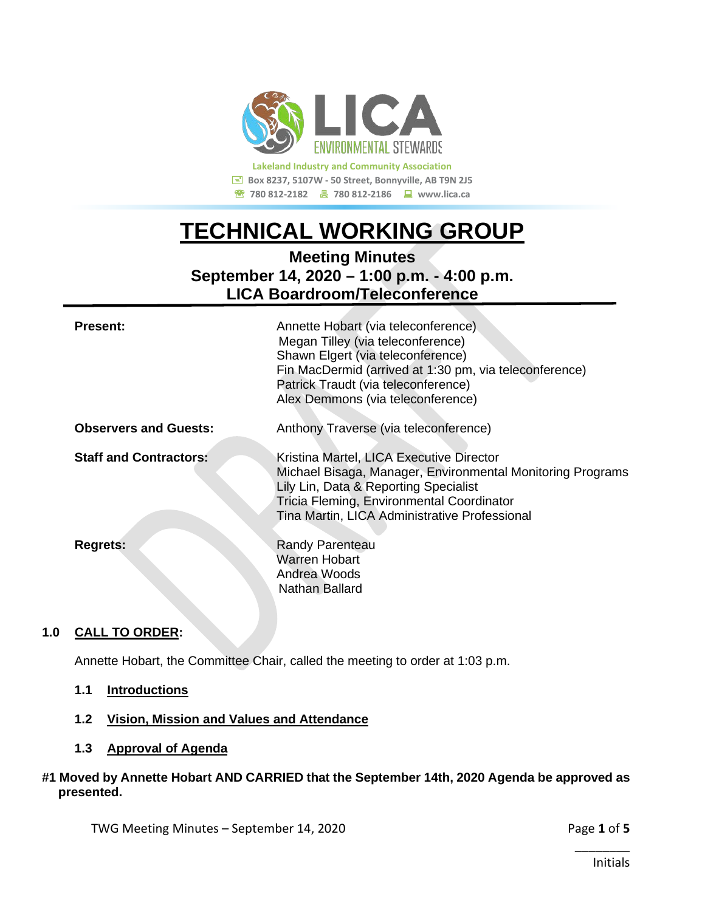

**Lakeland Industry and Community Association Box 8237, 5107W - 50 Street, Bonnyville, AB T9N 2J5 <sup>■</sup> 780 812-2182 ■ 780 812-2186 ■ www.lica.ca** 

# **TECHNICAL WORKING GROUP**

**Meeting Minutes September 14, 2020 – 1:00 p.m. - 4:00 p.m. LICA Boardroom/Teleconference**

| <b>Present:</b>               | Annette Hobart (via teleconference)<br>Megan Tilley (via teleconference)<br>Shawn Elgert (via teleconference)<br>Fin MacDermid (arrived at 1:30 pm, via teleconference)<br>Patrick Traudt (via teleconference)<br>Alex Demmons (via teleconference) |
|-------------------------------|-----------------------------------------------------------------------------------------------------------------------------------------------------------------------------------------------------------------------------------------------------|
| <b>Observers and Guests:</b>  | Anthony Traverse (via teleconference)                                                                                                                                                                                                               |
| <b>Staff and Contractors:</b> | Kristina Martel, LICA Executive Director<br>Michael Bisaga, Manager, Environmental Monitoring Programs<br>Lily Lin, Data & Reporting Specialist<br>Tricia Fleming, Environmental Coordinator<br>Tina Martin, LICA Administrative Professional       |
| <b>Regrets:</b>               | <b>Randy Parenteau</b><br>Warren Hobart<br>Andrea Woods<br>Nathan Ballard                                                                                                                                                                           |

### **1.0 CALL TO ORDER:**

Annette Hobart, the Committee Chair, called the meeting to order at 1:03 p.m.

- **1.1 Introductions**
- **1.2 Vision, Mission and Values and Attendance**
- **1.3 Approval of Agenda**

#### **#1 Moved by Annette Hobart AND CARRIED that the September 14th, 2020 Agenda be approved as presented.**

TWG Meeting Minutes – September 14, 2020 **Page 1** of 5

\_\_\_\_\_\_\_\_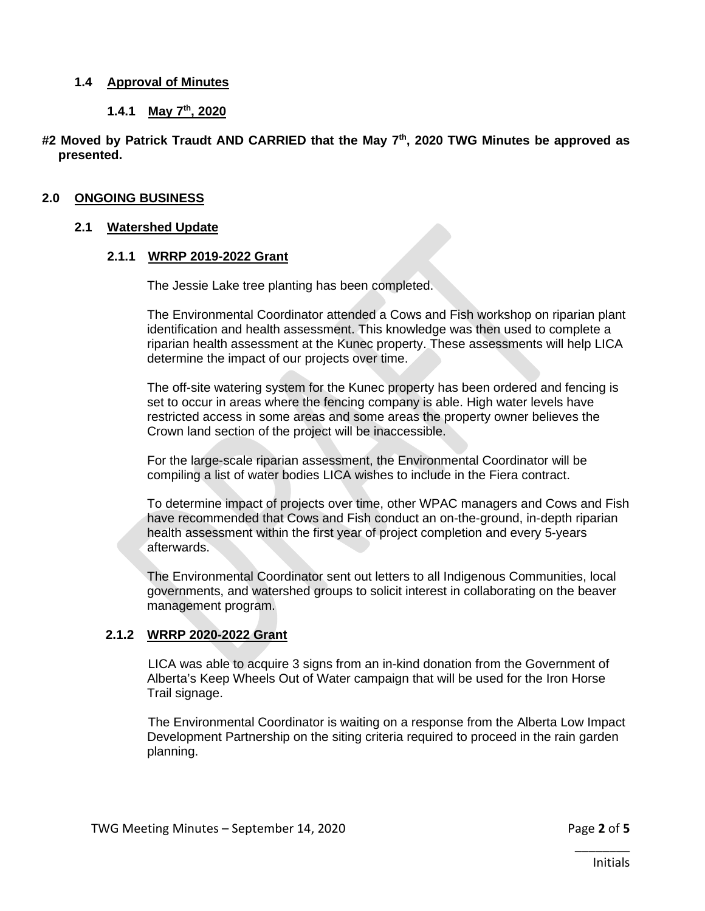#### **1.4 Approval of Minutes**

#### **1.4.1 May 7th, 2020**

#### **#2 Moved by Patrick Traudt AND CARRIED that the May 7th, 2020 TWG Minutes be approved as presented.**

#### **2.0 ONGOING BUSINESS**

#### **2.1 Watershed Update**

#### **2.1.1 WRRP 2019-2022 Grant**

The Jessie Lake tree planting has been completed.

The Environmental Coordinator attended a Cows and Fish workshop on riparian plant identification and health assessment. This knowledge was then used to complete a riparian health assessment at the Kunec property. These assessments will help LICA determine the impact of our projects over time.

The off-site watering system for the Kunec property has been ordered and fencing is set to occur in areas where the fencing company is able. High water levels have restricted access in some areas and some areas the property owner believes the Crown land section of the project will be inaccessible.

For the large-scale riparian assessment, the Environmental Coordinator will be compiling a list of water bodies LICA wishes to include in the Fiera contract.

To determine impact of projects over time, other WPAC managers and Cows and Fish have recommended that Cows and Fish conduct an on-the-ground, in-depth riparian health assessment within the first year of project completion and every 5-years afterwards.

The Environmental Coordinator sent out letters to all Indigenous Communities, local governments, and watershed groups to solicit interest in collaborating on the beaver management program.

#### **2.1.2 WRRP 2020-2022 Grant**

LICA was able to acquire 3 signs from an in-kind donation from the Government of Alberta's Keep Wheels Out of Water campaign that will be used for the Iron Horse Trail signage.

The Environmental Coordinator is waiting on a response from the Alberta Low Impact Development Partnership on the siting criteria required to proceed in the rain garden planning.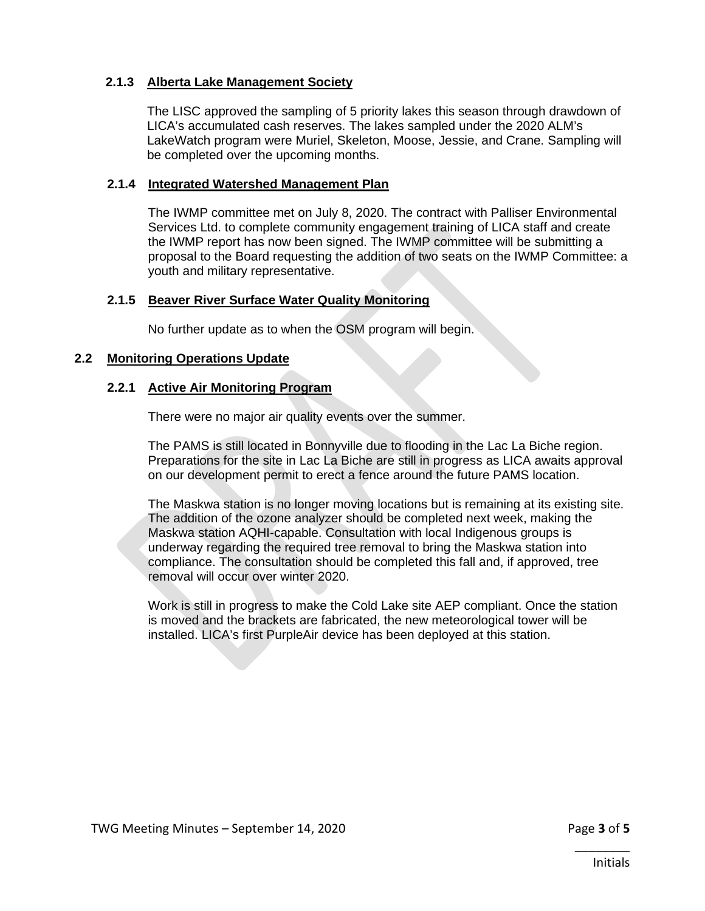#### **2.1.3 Alberta Lake Management Society**

The LISC approved the sampling of 5 priority lakes this season through drawdown of LICA's accumulated cash reserves. The lakes sampled under the 2020 ALM's LakeWatch program were Muriel, Skeleton, Moose, Jessie, and Crane. Sampling will be completed over the upcoming months.

#### **2.1.4 Integrated Watershed Management Plan**

The IWMP committee met on July 8, 2020. The contract with Palliser Environmental Services Ltd. to complete community engagement training of LICA staff and create the IWMP report has now been signed. The IWMP committee will be submitting a proposal to the Board requesting the addition of two seats on the IWMP Committee: a youth and military representative.

#### **2.1.5 Beaver River Surface Water Quality Monitoring**

No further update as to when the OSM program will begin.

#### **2.2 Monitoring Operations Update**

#### **2.2.1 Active Air Monitoring Program**

There were no major air quality events over the summer.

The PAMS is still located in Bonnyville due to flooding in the Lac La Biche region. Preparations for the site in Lac La Biche are still in progress as LICA awaits approval on our development permit to erect a fence around the future PAMS location.

The Maskwa station is no longer moving locations but is remaining at its existing site. The addition of the ozone analyzer should be completed next week, making the Maskwa station AQHI-capable. Consultation with local Indigenous groups is underway regarding the required tree removal to bring the Maskwa station into compliance. The consultation should be completed this fall and, if approved, tree removal will occur over winter 2020.

Work is still in progress to make the Cold Lake site AEP compliant. Once the station is moved and the brackets are fabricated, the new meteorological tower will be installed. LICA's first PurpleAir device has been deployed at this station.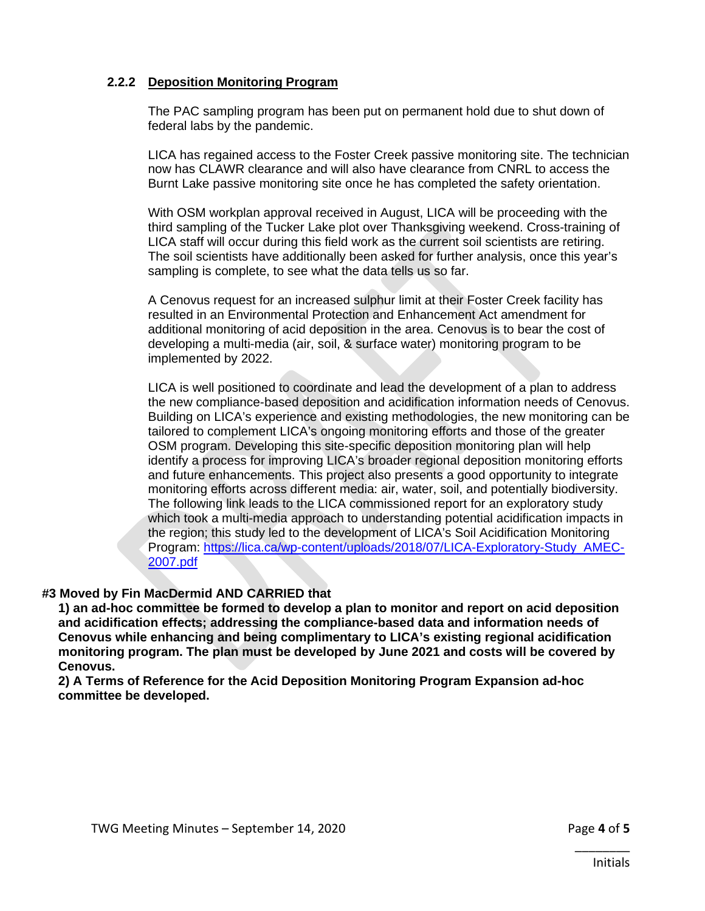#### **2.2.2 Deposition Monitoring Program**

The PAC sampling program has been put on permanent hold due to shut down of federal labs by the pandemic.

LICA has regained access to the Foster Creek passive monitoring site. The technician now has CLAWR clearance and will also have clearance from CNRL to access the Burnt Lake passive monitoring site once he has completed the safety orientation.

With OSM workplan approval received in August, LICA will be proceeding with the third sampling of the Tucker Lake plot over Thanksgiving weekend. Cross-training of LICA staff will occur during this field work as the current soil scientists are retiring. The soil scientists have additionally been asked for further analysis, once this year's sampling is complete, to see what the data tells us so far.

A Cenovus request for an increased sulphur limit at their Foster Creek facility has resulted in an Environmental Protection and Enhancement Act amendment for additional monitoring of acid deposition in the area. Cenovus is to bear the cost of developing a multi-media (air, soil, & surface water) monitoring program to be implemented by 2022.

LICA is well positioned to coordinate and lead the development of a plan to address the new compliance-based deposition and acidification information needs of Cenovus. Building on LICA's experience and existing methodologies, the new monitoring can be tailored to complement LICA's ongoing monitoring efforts and those of the greater OSM program. Developing this site-specific deposition monitoring plan will help identify a process for improving LICA's broader regional deposition monitoring efforts and future enhancements. This project also presents a good opportunity to integrate monitoring efforts across different media: air, water, soil, and potentially biodiversity. The following link leads to the LICA commissioned report for an exploratory study which took a multi-media approach to understanding potential acidification impacts in the region; this study led to the development of LICA's Soil Acidification Monitoring Program: [https://lica.ca/wp-content/uploads/2018/07/LICA-Exploratory-Study\\_AMEC-](https://lica.ca/wp-content/uploads/2018/07/LICA-Exploratory-Study_AMEC-2007.pdf)[2007.pdf](https://lica.ca/wp-content/uploads/2018/07/LICA-Exploratory-Study_AMEC-2007.pdf)

#### **#3 Moved by Fin MacDermid AND CARRIED that**

**1) an ad-hoc committee be formed to develop a plan to monitor and report on acid deposition and acidification effects; addressing the compliance-based data and information needs of Cenovus while enhancing and being complimentary to LICA's existing regional acidification monitoring program. The plan must be developed by June 2021 and costs will be covered by Cenovus.** 

**2) A Terms of Reference for the Acid Deposition Monitoring Program Expansion ad-hoc committee be developed.**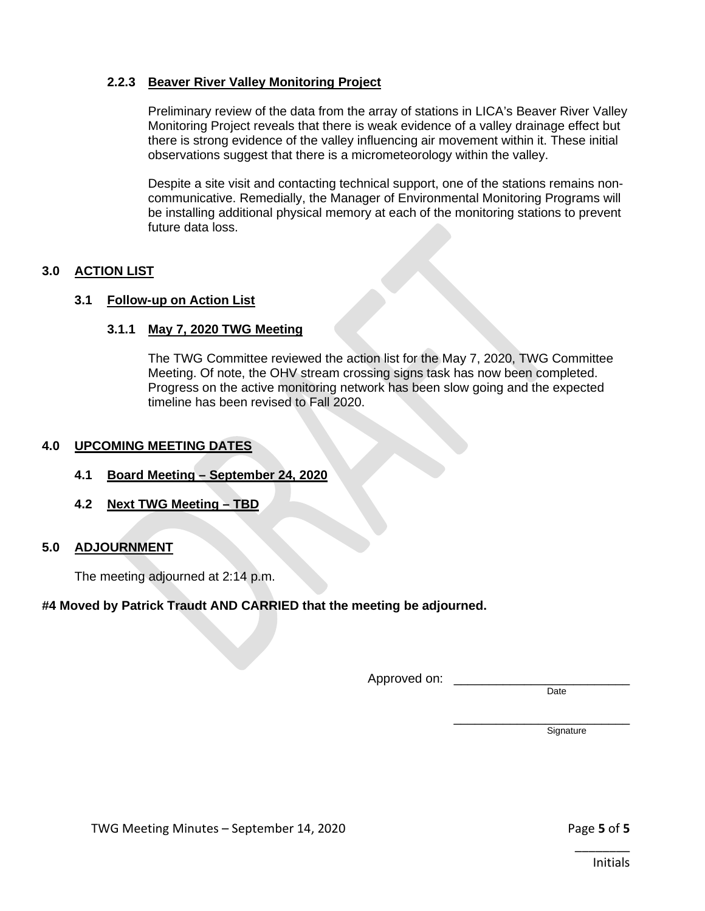#### **2.2.3 Beaver River Valley Monitoring Project**

Preliminary review of the data from the array of stations in LICA's Beaver River Valley Monitoring Project reveals that there is weak evidence of a valley drainage effect but there is strong evidence of the valley influencing air movement within it. These initial observations suggest that there is a micrometeorology within the valley.

Despite a site visit and contacting technical support, one of the stations remains noncommunicative. Remedially, the Manager of Environmental Monitoring Programs will be installing additional physical memory at each of the monitoring stations to prevent future data loss.

#### **3.0 ACTION LIST**

#### **3.1 Follow-up on Action List**

#### **3.1.1 May 7, 2020 TWG Meeting**

The TWG Committee reviewed the action list for the May 7, 2020, TWG Committee Meeting. Of note, the OHV stream crossing signs task has now been completed. Progress on the active monitoring network has been slow going and the expected timeline has been revised to Fall 2020.

#### **4.0 UPCOMING MEETING DATES**

- **4.1 Board Meeting – September 24, 2020**
- **4.2 Next TWG Meeting – TBD**

#### **5.0 ADJOURNMENT**

The meeting adjourned at 2:14 p.m.

#### **#4 Moved by Patrick Traudt AND CARRIED that the meeting be adjourned.**

Approved on:

**Date** 

\_\_\_\_\_\_\_\_\_\_\_\_\_\_\_\_\_\_\_\_\_\_\_\_\_ **Signature**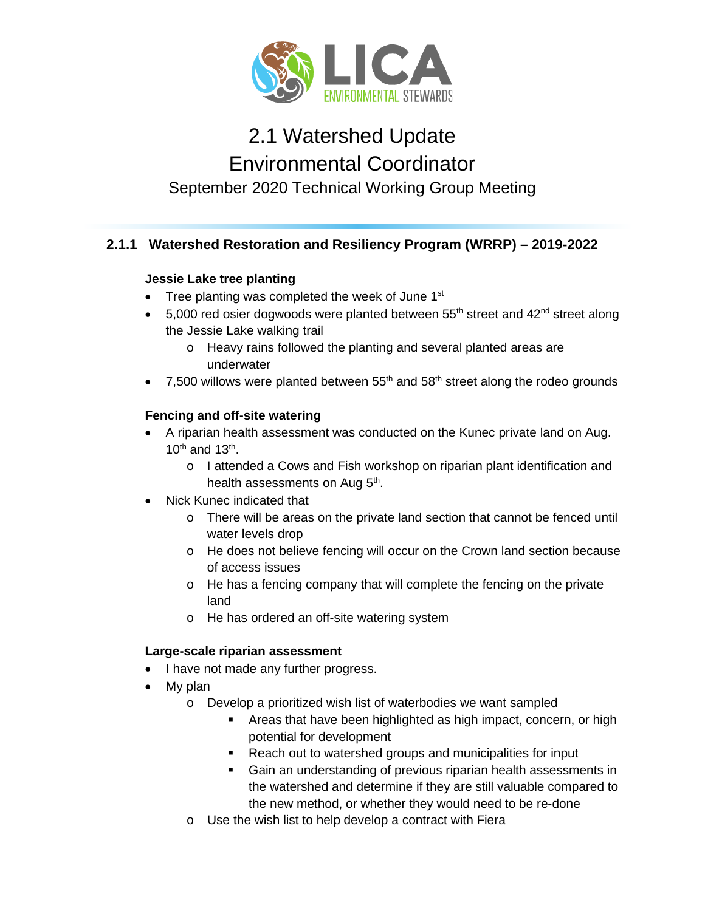

## 2.1 Watershed Update Environmental Coordinator September 2020 Technical Working Group Meeting

## **2.1.1 Watershed Restoration and Resiliency Program (WRRP) – 2019-2022**

## **Jessie Lake tree planting**

- Tree planting was completed the week of June  $1<sup>st</sup>$
- 5,000 red osier dogwoods were planted between  $55<sup>th</sup>$  street and  $42<sup>nd</sup>$  street along the Jessie Lake walking trail
	- o Heavy rains followed the planting and several planted areas are underwater
- 7,500 willows were planted between  $55<sup>th</sup>$  and  $58<sup>th</sup>$  street along the rodeo grounds

## **Fencing and off-site watering**

- A riparian health assessment was conducted on the Kunec private land on Aug.  $10^{th}$  and  $13^{th}$ .
	- o I attended a Cows and Fish workshop on riparian plant identification and health assessments on Aug 5<sup>th</sup>.
- Nick Kunec indicated that
	- o There will be areas on the private land section that cannot be fenced until water levels drop
	- o He does not believe fencing will occur on the Crown land section because of access issues
	- o He has a fencing company that will complete the fencing on the private land
	- o He has ordered an off-site watering system

## **Large-scale riparian assessment**

- I have not made any further progress.
- My plan
	- o Develop a prioritized wish list of waterbodies we want sampled
		- **EXTERN** Areas that have been highlighted as high impact, concern, or high potential for development
		- **Reach out to watershed groups and municipalities for input**
		- Gain an understanding of previous riparian health assessments in the watershed and determine if they are still valuable compared to the new method, or whether they would need to be re-done
	- o Use the wish list to help develop a contract with Fiera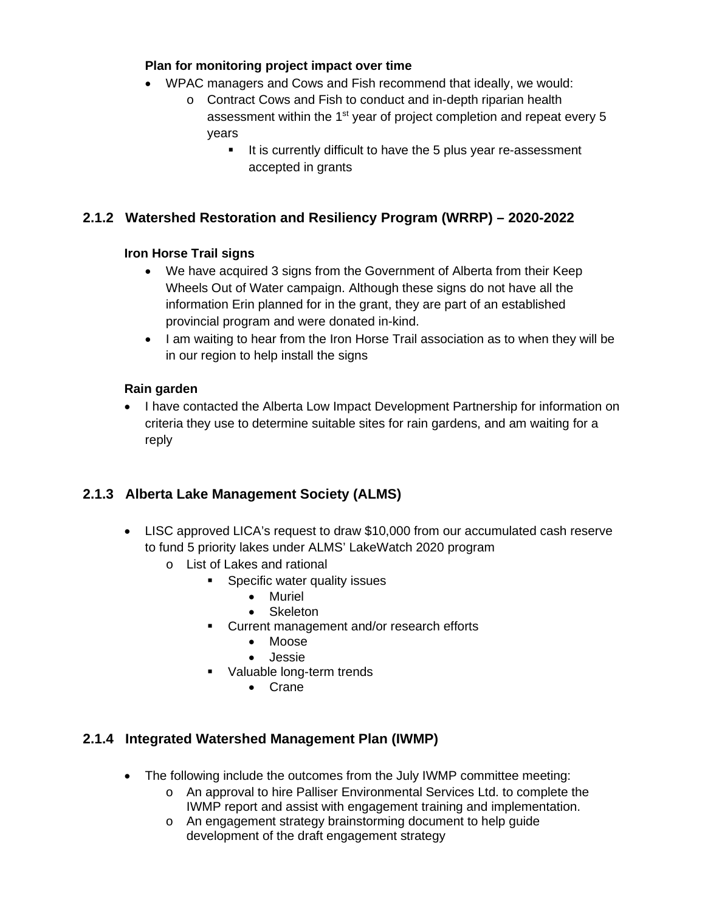### **Plan for monitoring project impact over time**

- WPAC managers and Cows and Fish recommend that ideally, we would:
	- o Contract Cows and Fish to conduct and in-depth riparian health assessment within the 1<sup>st</sup> year of project completion and repeat every 5 years
		- It is currently difficult to have the 5 plus year re-assessment accepted in grants

## **2.1.2 Watershed Restoration and Resiliency Program (WRRP) – 2020-2022**

## **Iron Horse Trail signs**

- We have acquired 3 signs from the Government of Alberta from their Keep Wheels Out of Water campaign. Although these signs do not have all the information Erin planned for in the grant, they are part of an established provincial program and were donated in-kind.
- I am waiting to hear from the Iron Horse Trail association as to when they will be in our region to help install the signs

## **Rain garden**

• I have contacted the Alberta Low Impact Development Partnership for information on criteria they use to determine suitable sites for rain gardens, and am waiting for a reply

## **2.1.3 Alberta Lake Management Society (ALMS)**

- LISC approved LICA's request to draw \$10,000 from our accumulated cash reserve to fund 5 priority lakes under ALMS' LakeWatch 2020 program
	- o List of Lakes and rational
		- **Specific water quality issues** 
			- Muriel
			- Skeleton
		- **Current management and/or research efforts** 
			- Moose
			- Jessie
		- **Valuable long-term trends** 
			- Crane

## **2.1.4 Integrated Watershed Management Plan (IWMP)**

- The following include the outcomes from the July IWMP committee meeting:
	- o An approval to hire Palliser Environmental Services Ltd. to complete the IWMP report and assist with engagement training and implementation.
	- o An engagement strategy brainstorming document to help guide development of the draft engagement strategy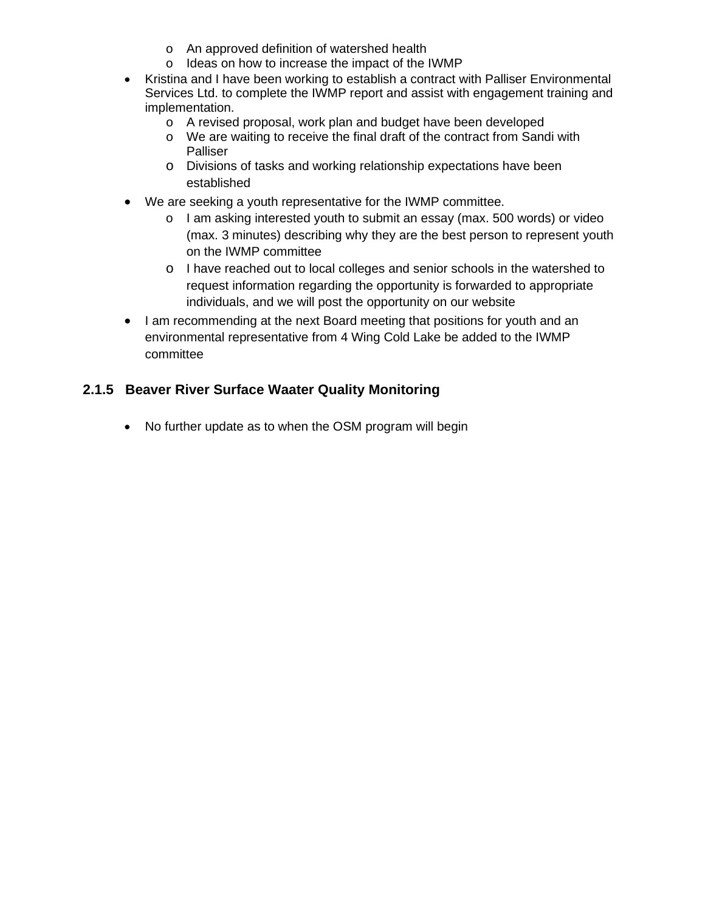- o An approved definition of watershed health
- o Ideas on how to increase the impact of the IWMP
- Kristina and I have been working to establish a contract with Palliser Environmental Services Ltd. to complete the IWMP report and assist with engagement training and implementation.
	- o A revised proposal, work plan and budget have been developed
	- o We are waiting to receive the final draft of the contract from Sandi with Palliser
	- o Divisions of tasks and working relationship expectations have been established
- We are seeking a youth representative for the IWMP committee.
	- o I am asking interested youth to submit an essay (max. 500 words) or video (max. 3 minutes) describing why they are the best person to represent youth on the IWMP committee
	- o I have reached out to local colleges and senior schools in the watershed to request information regarding the opportunity is forwarded to appropriate individuals, and we will post the opportunity on our website
- I am recommending at the next Board meeting that positions for youth and an environmental representative from 4 Wing Cold Lake be added to the IWMP committee

## **2.1.5 Beaver River Surface Waater Quality Monitoring**

• No further update as to when the OSM program will begin